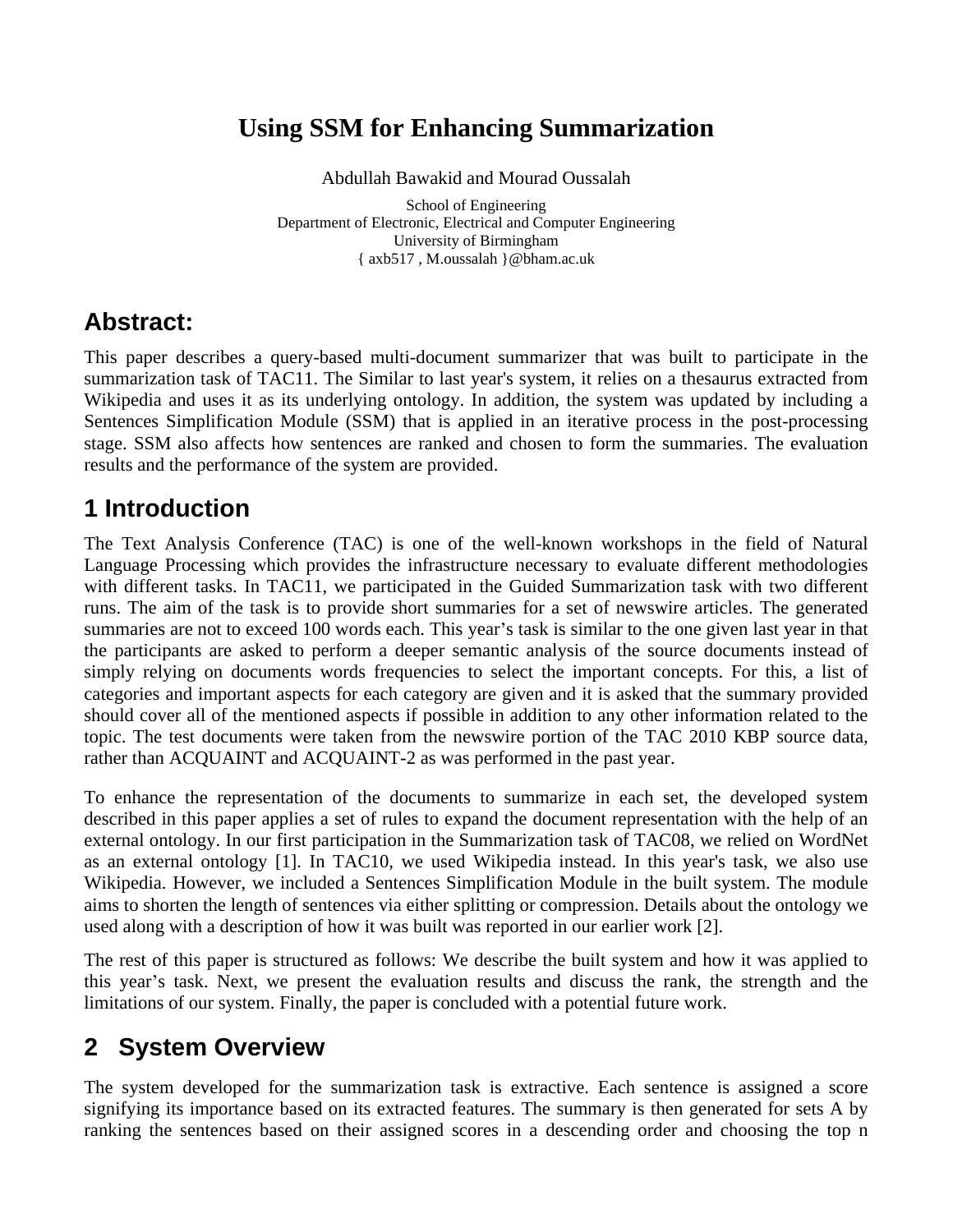# **Using SSM for Enhancing Summarization**

Abdullah Bawakid and Mourad Oussalah

School of Engineering School of Engineering Department of Electronic, Electrical and Computer Engineering University of Birmingham { axb517 , M.oussalah }@bham.ac.uk

### **Abstract:**

This paper describes a query-based multi-document summarizer that was built to participate in the summarization task of TAC11. The Similar to last year's system, it relies on a thesaurus extracted from Wikipedia and uses it as its underlying ontology. In addition, the system was updated by including a Sentences Simplification Module (SSM) that is applied in an iterative process in the post-processing stage. SSM also affects how sentences are ranked and chosen to form the summaries. The evaluation results and the performance of the system are provided.

### **1 Introduction**

The Text Analysis Conference (TAC) is one of the well-known workshops in the field of Natural Language Processing which provides the infrastructure necessary to evaluate different methodologies with different tasks. In TAC11, we participated in the Guided Summarization task with two different runs. The aim of the task is to provide short summaries for a set of newswire articles. The generated summaries are not to exceed 100 words each. This year's task is similar to the one given last year in that the participants are asked to perform a deeper semantic analysis of the source documents instead of simply relying on documents words frequencies to select the important concepts. For this, a list of categories and important aspects for each category are given and it is asked that the summary provided should cover all of the mentioned aspects if possible in addition to any other information related to the topic. The test documents were taken from the newswire portion of the TAC 2010 KBP source data, rather than ACQUAINT and ACQUAINT-2 as was performed in the past year.

To enhance the representation of the documents to summarize in each set, the developed system described in this paper applies a set of rules to expand the document representation with the help of an external ontology. In our first participation in the Summarization task of TAC08, we relied on WordNet as an external ontology [1]. In TAC10, we used Wikipedia instead. In this year's task, we also use Wikipedia. However, we included a Sentences Simplification Module in the built system. The module aims to shorten the length of sentences via either splitting or compression. Details about the ontology we used along with a description of how it was built was reported in our earlier work [2].

The rest of this paper is structured as follows: We describe the built system and how it was applied to this year's task. Next, we present the evaluation results and discuss the rank, the strength and the limitations of our system. Finally, the paper is concluded with a potential future work.

# **2 System Overview**

The system developed for the summarization task is extractive. Each sentence is assigned a score signifying its importance based on its extracted features. The summary is then generated for sets A by ranking the sentences based on their assigned scores in a descending order and choosing the top n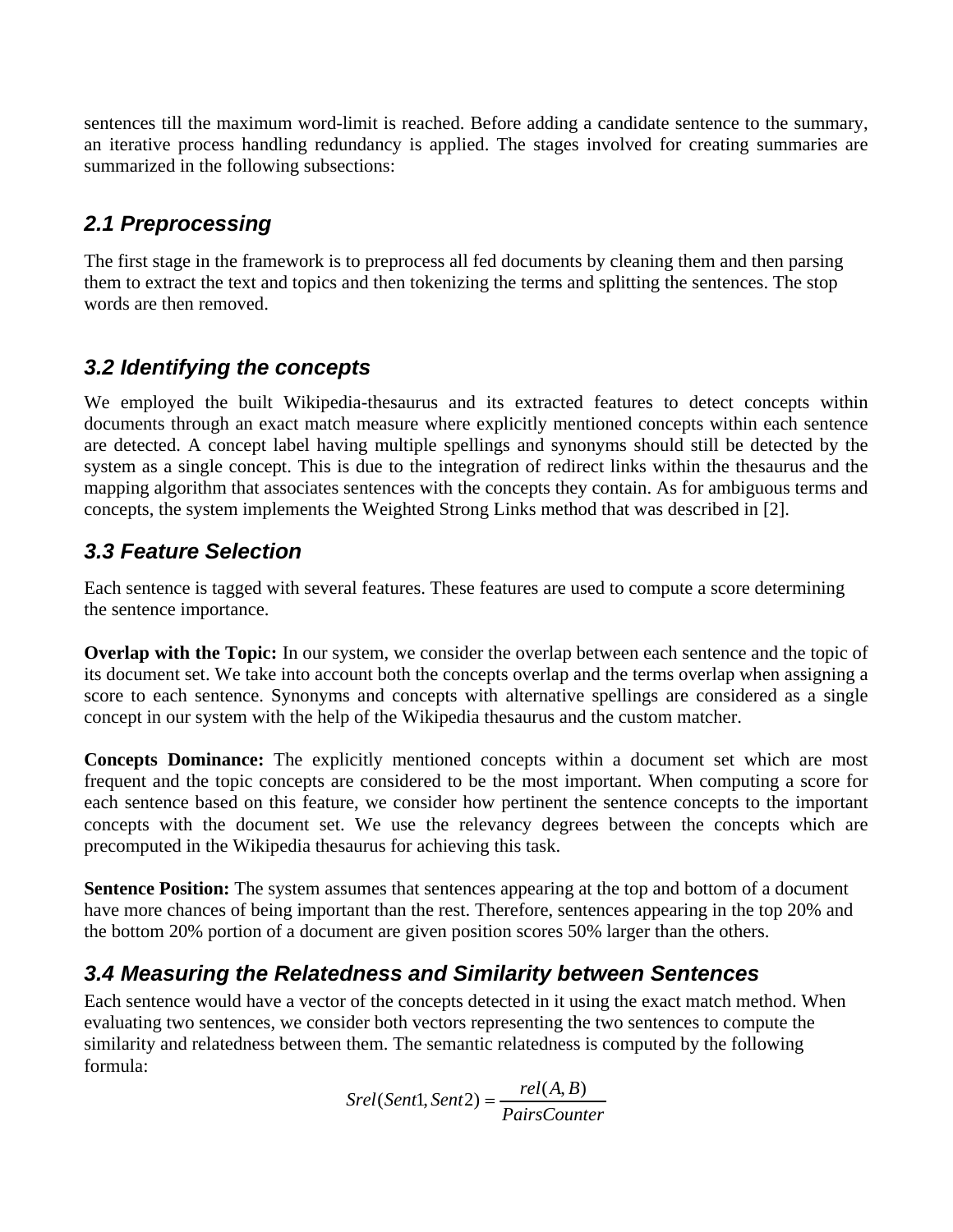sentences till the maximum word-limit is reached. Before adding a candidate sentence to the summary, an iterative process handling redundancy is applied. The stages involved for creating summaries are summarized in the following subsections:

### **2.1 Preprocessing**

The first stage in the framework is to preprocess all fed documents by cleaning them and then parsing them to extract the text and topics and then tokenizing the terms and splitting the sentences. The stop words are then removed.

#### **3.2 Identifying the concepts**

We employed the built Wikipedia-thesaurus and its extracted features to detect concepts within documents through an exact match measure where explicitly mentioned concepts within each sentence are detected. A concept label having multiple spellings and synonyms should still be detected by the system as a single concept. This is due to the integration of redirect links within the thesaurus and the mapping algorithm that associates sentences with the concepts they contain. As for ambiguous terms and concepts, the system implements the Weighted Strong Links method that was described in [2].

### **3.3 Feature Selection**

Each sentence is tagged with several features. These features are used to compute a score determining the sentence importance.

**Overlap with the Topic:** In our system, we consider the overlap between each sentence and the topic of its document set. We take into account both the concepts overlap and the terms overlap when assigning a score to each sentence. Synonyms and concepts with alternative spellings are considered as a single concept in our system with the help of the Wikipedia thesaurus and the custom matcher.

**Concepts Dominance:** The explicitly mentioned concepts within a document set which are most frequent and the topic concepts are considered to be the most important. When computing a score for each sentence based on this feature, we consider how pertinent the sentence concepts to the important concepts with the document set. We use the relevancy degrees between the concepts which are precomputed in the Wikipedia thesaurus for achieving this task.

**Sentence Position:** The system assumes that sentences appearing at the top and bottom of a document have more chances of being important than the rest. Therefore, sentences appearing in the top 20% and the bottom 20% portion of a document are given position scores 50% larger than the others.

#### **3.4 Measuring the Relatedness and Similarity between Sentences**

Each sentence would have a vector of the concepts detected in it using the exact match method. When evaluating two sentences, we consider both vectors representing the two sentences to compute the similarity and relatedness between them. The semantic relatedness is computed by the following formula:

> *PairsCounter*  $rel(A, B)$  $Srel(Sent1, Sent2) = \frac{rel(A, B)}{1.1}$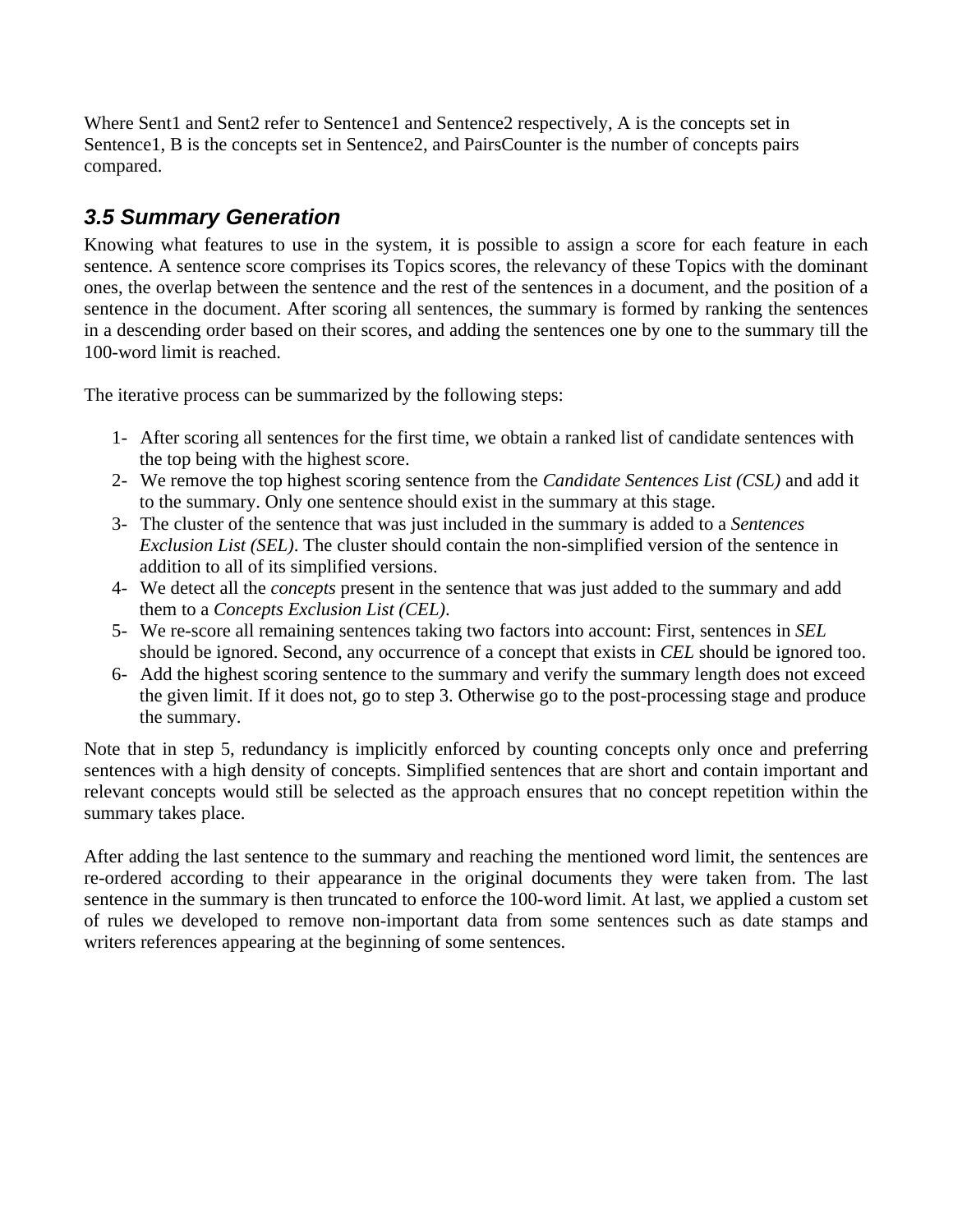Where Sent1 and Sent2 refer to Sentence1 and Sentence2 respectively, A is the concepts set in Sentence1, B is the concepts set in Sentence2, and PairsCounter is the number of concepts pairs compared.

### **3.5 Summary Generation**

Knowing what features to use in the system, it is possible to assign a score for each feature in each sentence. A sentence score comprises its Topics scores, the relevancy of these Topics with the dominant ones, the overlap between the sentence and the rest of the sentences in a document, and the position of a sentence in the document. After scoring all sentences, the summary is formed by ranking the sentences in a descending order based on their scores, and adding the sentences one by one to the summary till the 100-word limit is reached.

The iterative process can be summarized by the following steps:

- 1- After scoring all sentences for the first time, we obtain a ranked list of candidate sentences with the top being with the highest score.
- 2- We remove the top highest scoring sentence from the *Candidate Sentences List (CSL)* and add it to the summary. Only one sentence should exist in the summary at this stage.
- 3- The cluster of the sentence that was just included in the summary is added to a *Sentences Exclusion List (SEL)*. The cluster should contain the non-simplified version of the sentence in addition to all of its simplified versions.
- 4- We detect all the *concepts* present in the sentence that was just added to the summary and add them to a *Concepts Exclusion List (CEL)*.
- 5- We re-score all remaining sentences taking two factors into account: First, sentences in *SEL* should be ignored. Second, any occurrence of a concept that exists in *CEL* should be ignored too.
- 6- Add the highest scoring sentence to the summary and verify the summary length does not exceed the given limit. If it does not, go to step 3. Otherwise go to the post-processing stage and produce the summary.

Note that in step 5, redundancy is implicitly enforced by counting concepts only once and preferring sentences with a high density of concepts. Simplified sentences that are short and contain important and relevant concepts would still be selected as the approach ensures that no concept repetition within the summary takes place.

After adding the last sentence to the summary and reaching the mentioned word limit, the sentences are re-ordered according to their appearance in the original documents they were taken from. The last sentence in the summary is then truncated to enforce the 100-word limit. At last, we applied a custom set of rules we developed to remove non-important data from some sentences such as date stamps and writers references appearing at the beginning of some sentences.